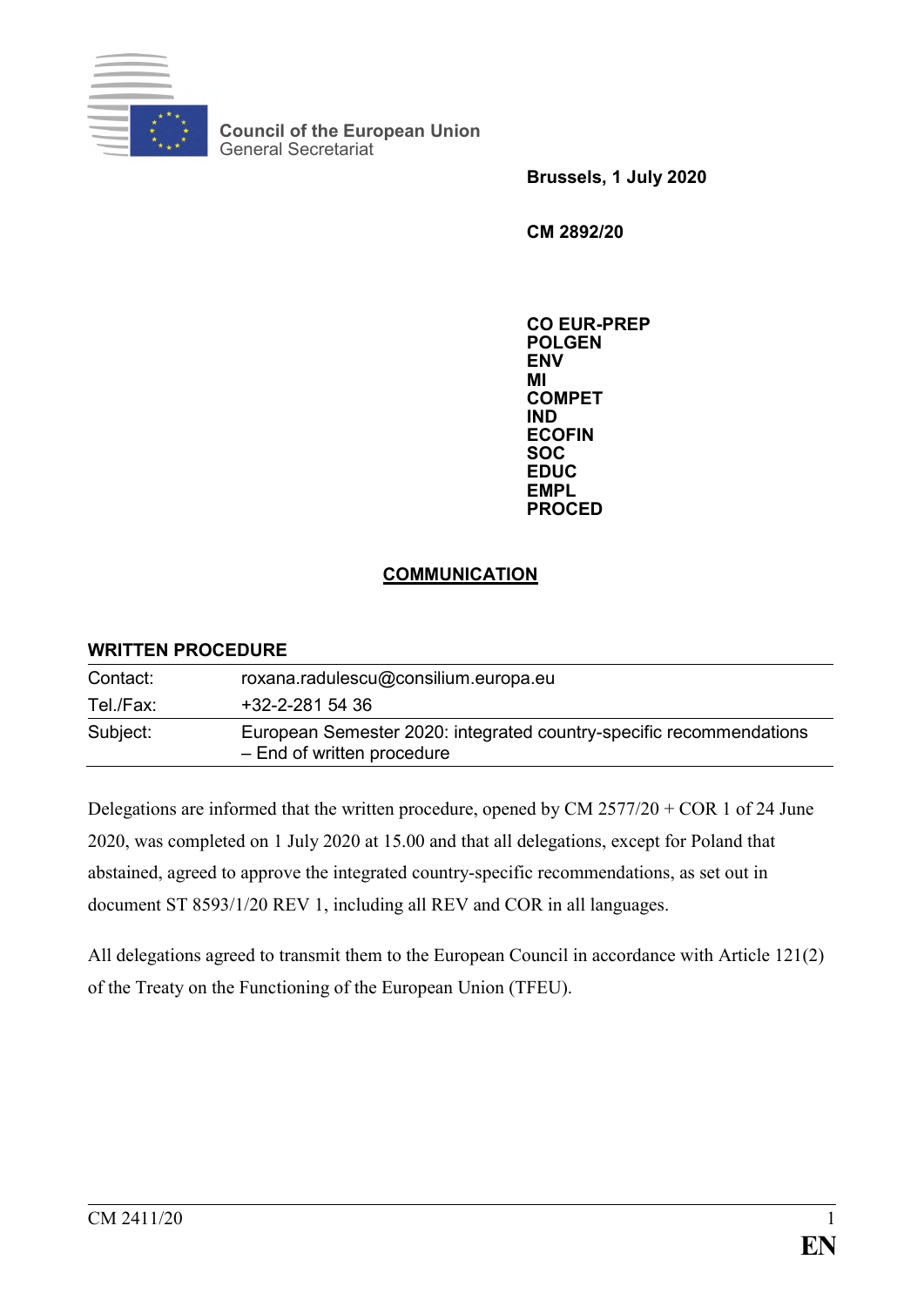

**Council of the European Union** General Secretariat

**Brussels, 1 July 2020**

**CM 2892/20**

**CO EUR-PREP POLGEN ENV MI COMPET IND ECOFIN SOC EDUC EMPL PROCED**

## **COMMUNICATION**

## **WRITTEN PROCEDURE**

| Contact:  | roxana.radulescu@consilium.europa.eu                                                              |
|-----------|---------------------------------------------------------------------------------------------------|
| Tel./Fax: | $+32 - 2 - 2815436$                                                                               |
| Subject:  | European Semester 2020: integrated country-specific recommendations<br>- End of written procedure |

Delegations are informed that the written procedure, opened by CM  $2577/20 + \text{COR} 1$  of 24 June 2020, was completed on 1 July 2020 at 15.00 and that all delegations, except for Poland that abstained, agreed to approve the integrated country-specific recommendations, as set out in document ST 8593/1/20 REV 1, including all REV and COR in all languages.

All delegations agreed to transmit them to the European Council in accordance with Article 121(2) of the Treaty on the Functioning of the European Union (TFEU).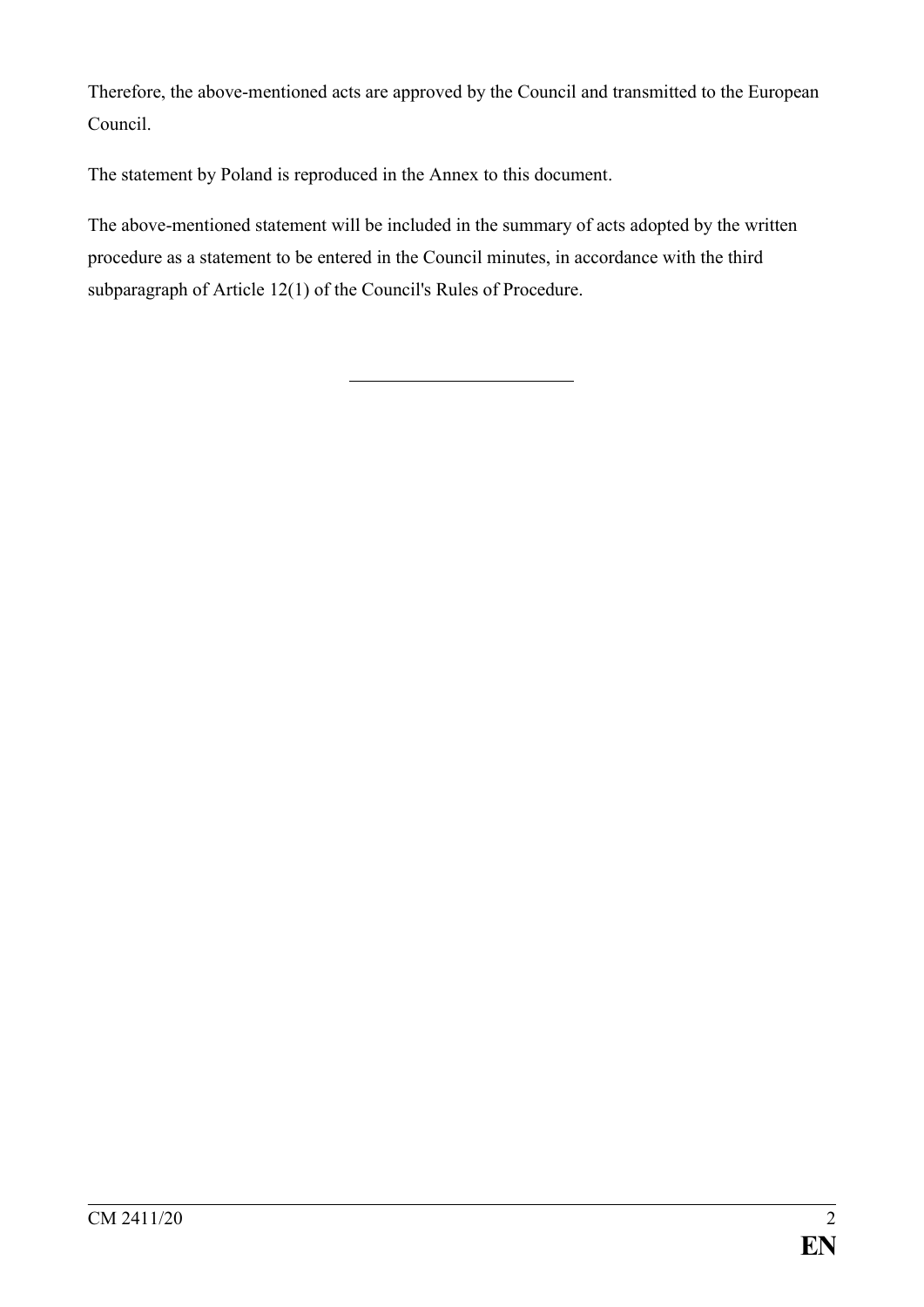Therefore, the above-mentioned acts are approved by the Council and transmitted to the European Council.

The statement by Poland is reproduced in the Annex to this document.

The above-mentioned statement will be included in the summary of acts adopted by the written procedure as a statement to be entered in the Council minutes, in accordance with the third subparagraph of Article 12(1) of the Council's Rules of Procedure.

CM 2411/20 2